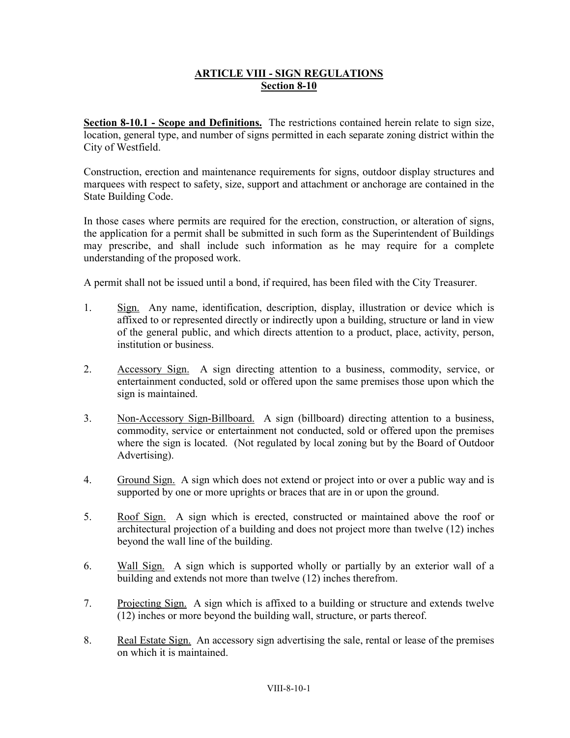# **ARTICLE VIII - SIGN REGULATIONS Section 8-10**

**Section 8-10.1 - Scope and Definitions.** The restrictions contained herein relate to sign size, location, general type, and number of signs permitted in each separate zoning district within the City of Westfield.

Construction, erection and maintenance requirements for signs, outdoor display structures and marquees with respect to safety, size, support and attachment or anchorage are contained in the State Building Code.

In those cases where permits are required for the erection, construction, or alteration of signs, the application for a permit shall be submitted in such form as the Superintendent of Buildings may prescribe, and shall include such information as he may require for a complete understanding of the proposed work.

A permit shall not be issued until a bond, if required, has been filed with the City Treasurer.

- 1. Sign. Any name, identification, description, display, illustration or device which is affixed to or represented directly or indirectly upon a building, structure or land in view of the general public, and which directs attention to a product, place, activity, person, institution or business.
- 2. Accessory Sign. A sign directing attention to a business, commodity, service, or entertainment conducted, sold or offered upon the same premises those upon which the sign is maintained.
- 3. Non-Accessory Sign-Billboard. A sign (billboard) directing attention to a business, commodity, service or entertainment not conducted, sold or offered upon the premises where the sign is located. (Not regulated by local zoning but by the Board of Outdoor Advertising).
- 4. Ground Sign. A sign which does not extend or project into or over a public way and is supported by one or more uprights or braces that are in or upon the ground.
- 5. Roof Sign. A sign which is erected, constructed or maintained above the roof or architectural projection of a building and does not project more than twelve (12) inches beyond the wall line of the building.
- 6. Wall Sign. A sign which is supported wholly or partially by an exterior wall of a building and extends not more than twelve (12) inches therefrom.
- 7. Projecting Sign. A sign which is affixed to a building or structure and extends twelve (12) inches or more beyond the building wall, structure, or parts thereof.
- 8. Real Estate Sign. An accessory sign advertising the sale, rental or lease of the premises on which it is maintained.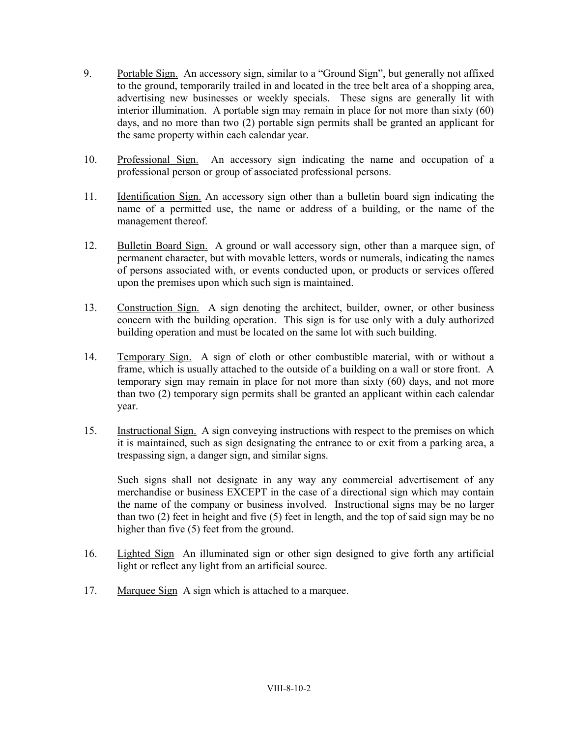- 9. Portable Sign. An accessory sign, similar to a "Ground Sign", but generally not affixed to the ground, temporarily trailed in and located in the tree belt area of a shopping area, advertising new businesses or weekly specials. These signs are generally lit with interior illumination. A portable sign may remain in place for not more than sixty (60) days, and no more than two (2) portable sign permits shall be granted an applicant for the same property within each calendar year.
- 10. Professional Sign. An accessory sign indicating the name and occupation of a professional person or group of associated professional persons.
- 11. Identification Sign. An accessory sign other than a bulletin board sign indicating the name of a permitted use, the name or address of a building, or the name of the management thereof.
- 12. Bulletin Board Sign. A ground or wall accessory sign, other than a marquee sign, of permanent character, but with movable letters, words or numerals, indicating the names of persons associated with, or events conducted upon, or products or services offered upon the premises upon which such sign is maintained.
- 13. Construction Sign. A sign denoting the architect, builder, owner, or other business concern with the building operation. This sign is for use only with a duly authorized building operation and must be located on the same lot with such building.
- 14. Temporary Sign. A sign of cloth or other combustible material, with or without a frame, which is usually attached to the outside of a building on a wall or store front. A temporary sign may remain in place for not more than sixty (60) days, and not more than two (2) temporary sign permits shall be granted an applicant within each calendar year.
- 15. Instructional Sign. A sign conveying instructions with respect to the premises on which it is maintained, such as sign designating the entrance to or exit from a parking area, a trespassing sign, a danger sign, and similar signs.

Such signs shall not designate in any way any commercial advertisement of any merchandise or business EXCEPT in the case of a directional sign which may contain the name of the company or business involved. Instructional signs may be no larger than two (2) feet in height and five (5) feet in length, and the top of said sign may be no higher than five  $(5)$  feet from the ground.

- 16. Lighted Sign An illuminated sign or other sign designed to give forth any artificial light or reflect any light from an artificial source.
- 17. Marquee Sign A sign which is attached to a marquee.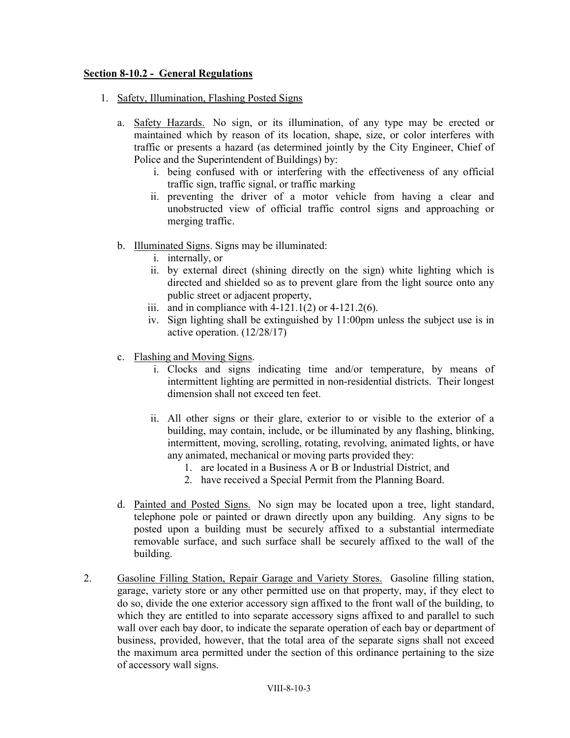### **Section 8-10.2 - General Regulations**

- 1. Safety, Illumination, Flashing Posted Signs
	- a. Safety Hazards. No sign, or its illumination, of any type may be erected or maintained which by reason of its location, shape, size, or color interferes with traffic or presents a hazard (as determined jointly by the City Engineer, Chief of Police and the Superintendent of Buildings) by:
		- i. being confused with or interfering with the effectiveness of any official traffic sign, traffic signal, or traffic marking
		- ii. preventing the driver of a motor vehicle from having a clear and unobstructed view of official traffic control signs and approaching or merging traffic.
	- b. Illuminated Signs. Signs may be illuminated:
		- i. internally, or
		- ii. by external direct (shining directly on the sign) white lighting which is directed and shielded so as to prevent glare from the light source onto any public street or adjacent property,
		- iii. and in compliance with  $4-121.1(2)$  or  $4-121.2(6)$ .
		- iv. Sign lighting shall be extinguished by 11:00pm unless the subject use is in active operation. (12/28/17)
	- c. Flashing and Moving Signs.
		- i. Clocks and signs indicating time and/or temperature, by means of intermittent lighting are permitted in non-residential districts. Their longest dimension shall not exceed ten feet.
		- ii. All other signs or their glare, exterior to or visible to the exterior of a building, may contain, include, or be illuminated by any flashing, blinking, intermittent, moving, scrolling, rotating, revolving, animated lights, or have any animated, mechanical or moving parts provided they:
			- 1. are located in a Business A or B or Industrial District, and
			- 2. have received a Special Permit from the Planning Board.
	- d. Painted and Posted Signs. No sign may be located upon a tree, light standard, telephone pole or painted or drawn directly upon any building. Any signs to be posted upon a building must be securely affixed to a substantial intermediate removable surface, and such surface shall be securely affixed to the wall of the building.
- 2. Gasoline Filling Station, Repair Garage and Variety Stores. Gasoline filling station, garage, variety store or any other permitted use on that property, may, if they elect to do so, divide the one exterior accessory sign affixed to the front wall of the building, to which they are entitled to into separate accessory signs affixed to and parallel to such wall over each bay door, to indicate the separate operation of each bay or department of business, provided, however, that the total area of the separate signs shall not exceed the maximum area permitted under the section of this ordinance pertaining to the size of accessory wall signs.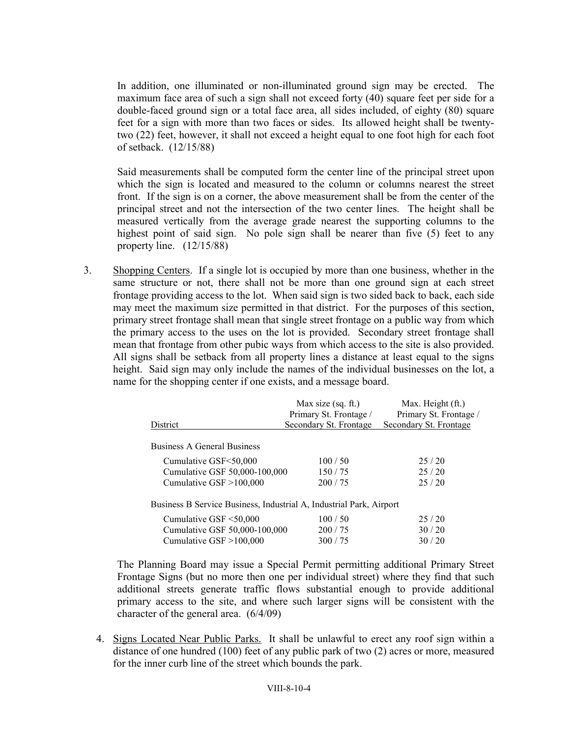In addition, one illuminated or non-illuminated ground sign may be erected. The maximum face area of such a sign shall not exceed forty (40) square feet per side for a double-faced ground sign or a total face area, all sides included, of eighty (80) square feet for a sign with more than two faces or sides. Its allowed height shall be twentytwo (22) feet, however, it shall not exceed a height equal to one foot high for each foot of setback. (12/15/88)

Said measurements shall be computed form the center line of the principal street upon which the sign is located and measured to the column or columns nearest the street front. If the sign is on a corner, the above measurement shall be from the center of the principal street and not the intersection of the two center lines. The height shall be measured vertically from the average grade nearest the supporting columns to the highest point of said sign. No pole sign shall be nearer than five (5) feet to any property line. (12/15/88)

3. Shopping Centers. If a single lot is occupied by more than one business, whether in the same structure or not, there shall not be more than one ground sign at each street frontage providing access to the lot. When said sign is two sided back to back, each side may meet the maximum size permitted in that district. For the purposes of this section, primary street frontage shall mean that single street frontage on a public way from which the primary access to the uses on the lot is provided. Secondary street frontage shall mean that frontage from other pubic ways from which access to the site is also provided. All signs shall be setback from all property lines a distance at least equal to the signs height. Said sign may only include the names of the individual businesses on the lot, a name for the shopping center if one exists, and a message board.

|                                                                     | Max size $(sq. ft.)$   | Max. Height (ft.)      |
|---------------------------------------------------------------------|------------------------|------------------------|
|                                                                     | Primary St. Frontage / | Primary St. Frontage / |
| District                                                            | Secondary St. Frontage | Secondary St. Frontage |
| <b>Business A General Business</b>                                  |                        |                        |
| Cumulative GSF<50,000                                               | 100/50                 | 25/20                  |
| Cumulative GSF 50,000-100,000                                       | 150/75                 | 25/20                  |
| Cumulative $GSF > 100,000$                                          | 200/75                 | 25/20                  |
| Business B Service Business, Industrial A, Industrial Park, Airport |                        |                        |
| Cumulative GSF $\leq 50,000$                                        | 100/50                 | 25/20                  |
| Cumulative GSF 50,000-100,000                                       | 200/75                 | 30/20                  |
| Cumulative $GSF > 100,000$                                          | 300/75                 | 30/20                  |

The Planning Board may issue a Special Permit permitting additional Primary Street Frontage Signs (but no more then one per individual street) where they find that such additional streets generate traffic flows substantial enough to provide additional primary access to the site, and where such larger signs will be consistent with the character of the general area. (6/4/09)

4. Signs Located Near Public Parks. It shall be unlawful to erect any roof sign within a distance of one hundred (100) feet of any public park of two (2) acres or more, measured for the inner curb line of the street which bounds the park.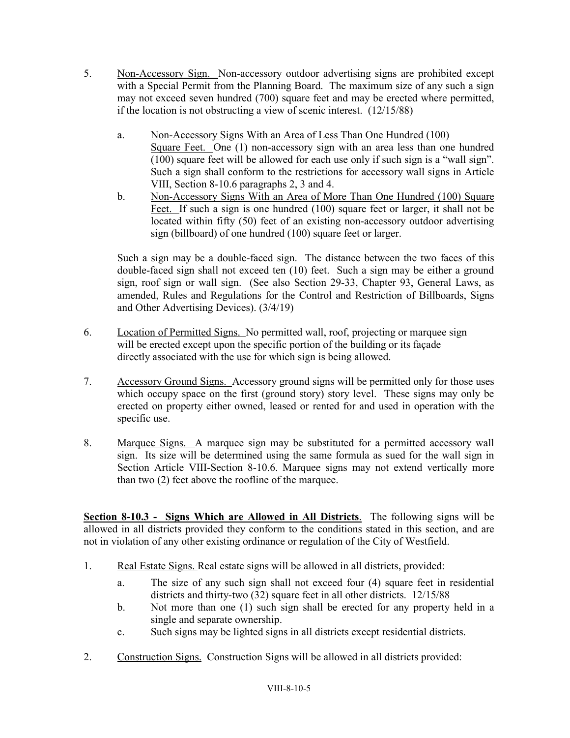- 5. Non-Accessory Sign. Non-accessory outdoor advertising signs are prohibited except with a Special Permit from the Planning Board. The maximum size of any such a sign may not exceed seven hundred (700) square feet and may be erected where permitted, if the location is not obstructing a view of scenic interest. (12/15/88)
	- a. Non-Accessory Signs With an Area of Less Than One Hundred (100) Square Feet. One (1) non-accessory sign with an area less than one hundred (100) square feet will be allowed for each use only if such sign is a "wall sign". Such a sign shall conform to the restrictions for accessory wall signs in Article VIII, Section 8-10.6 paragraphs 2, 3 and 4.
	- b. Non-Accessory Signs With an Area of More Than One Hundred (100) Square Feet. If such a sign is one hundred (100) square feet or larger, it shall not be located within fifty (50) feet of an existing non-accessory outdoor advertising sign (billboard) of one hundred (100) square feet or larger.

Such a sign may be a double-faced sign. The distance between the two faces of this double-faced sign shall not exceed ten (10) feet. Such a sign may be either a ground sign, roof sign or wall sign. (See also Section 29-33, Chapter 93, General Laws, as amended, Rules and Regulations for the Control and Restriction of Billboards, Signs and Other Advertising Devices). (3/4/19)

- 6. Location of Permitted Signs. No permitted wall, roof, projecting or marquee sign will be erected except upon the specific portion of the building or its façade directly associated with the use for which sign is being allowed.
- 7. Accessory Ground Signs. Accessory ground signs will be permitted only for those uses which occupy space on the first (ground story) story level. These signs may only be erected on property either owned, leased or rented for and used in operation with the specific use.
- 8. Marquee Signs. A marquee sign may be substituted for a permitted accessory wall sign. Its size will be determined using the same formula as sued for the wall sign in Section Article VIII-Section 8-10.6. Marquee signs may not extend vertically more than two (2) feet above the roofline of the marquee.

**Section 8-10.3 - Signs Which are Allowed in All Districts**. The following signs will be allowed in all districts provided they conform to the conditions stated in this section, and are not in violation of any other existing ordinance or regulation of the City of Westfield.

- 1. Real Estate Signs. Real estate signs will be allowed in all districts, provided:
	- a. The size of any such sign shall not exceed four (4) square feet in residential districts and thirty-two (32) square feet in all other districts. 12/15/88
	- b. Not more than one (1) such sign shall be erected for any property held in a single and separate ownership.
	- c. Such signs may be lighted signs in all districts except residential districts.
- 2. Construction Signs. Construction Signs will be allowed in all districts provided: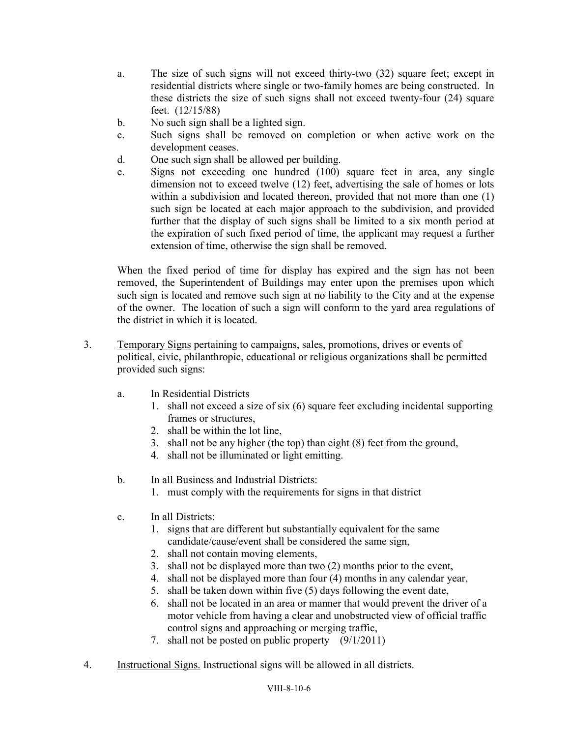- a. The size of such signs will not exceed thirty-two (32) square feet; except in residential districts where single or two-family homes are being constructed. In these districts the size of such signs shall not exceed twenty-four (24) square feet. (12/15/88)
- b. No such sign shall be a lighted sign.
- c. Such signs shall be removed on completion or when active work on the development ceases.
- d. One such sign shall be allowed per building.
- e. Signs not exceeding one hundred (100) square feet in area, any single dimension not to exceed twelve (12) feet, advertising the sale of homes or lots within a subdivision and located thereon, provided that not more than one (1) such sign be located at each major approach to the subdivision, and provided further that the display of such signs shall be limited to a six month period at the expiration of such fixed period of time, the applicant may request a further extension of time, otherwise the sign shall be removed.

When the fixed period of time for display has expired and the sign has not been removed, the Superintendent of Buildings may enter upon the premises upon which such sign is located and remove such sign at no liability to the City and at the expense of the owner. The location of such a sign will conform to the yard area regulations of the district in which it is located.

- 3. Temporary Signs pertaining to campaigns, sales, promotions, drives or events of political, civic, philanthropic, educational or religious organizations shall be permitted provided such signs:
	- a. In Residential Districts
		- 1. shall not exceed a size of six (6) square feet excluding incidental supporting frames or structures,
		- 2. shall be within the lot line,
		- 3. shall not be any higher (the top) than eight (8) feet from the ground,
		- 4. shall not be illuminated or light emitting.
	- b. In all Business and Industrial Districts:
		- 1. must comply with the requirements for signs in that district
	- c. In all Districts:
		- 1. signs that are different but substantially equivalent for the same candidate/cause/event shall be considered the same sign,
		- 2. shall not contain moving elements,
		- 3. shall not be displayed more than two (2) months prior to the event,
		- 4. shall not be displayed more than four (4) months in any calendar year,
		- 5. shall be taken down within five (5) days following the event date,
		- 6. shall not be located in an area or manner that would prevent the driver of a motor vehicle from having a clear and unobstructed view of official traffic control signs and approaching or merging traffic,
		- 7. shall not be posted on public property (9/1/2011)
- 4. Instructional Signs. Instructional signs will be allowed in all districts.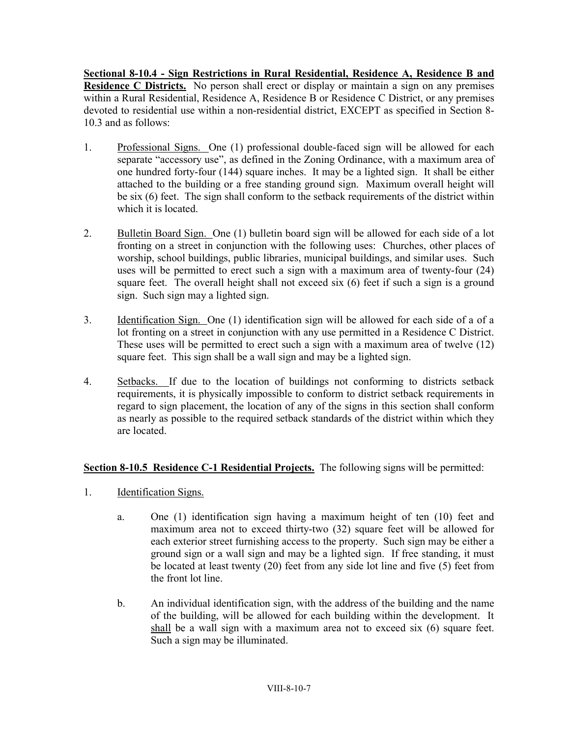**Sectional 8-10.4 - Sign Restrictions in Rural Residential, Residence A, Residence B and Residence C Districts.** No person shall erect or display or maintain a sign on any premises within a Rural Residential, Residence A, Residence B or Residence C District, or any premises devoted to residential use within a non-residential district, EXCEPT as specified in Section 8- 10.3 and as follows:

- 1. Professional Signs. One (1) professional double-faced sign will be allowed for each separate "accessory use", as defined in the Zoning Ordinance, with a maximum area of one hundred forty-four (144) square inches. It may be a lighted sign. It shall be either attached to the building or a free standing ground sign. Maximum overall height will be six (6) feet. The sign shall conform to the setback requirements of the district within which it is located.
- 2. Bulletin Board Sign. One (1) bulletin board sign will be allowed for each side of a lot fronting on a street in conjunction with the following uses: Churches, other places of worship, school buildings, public libraries, municipal buildings, and similar uses. Such uses will be permitted to erect such a sign with a maximum area of twenty-four (24) square feet. The overall height shall not exceed six (6) feet if such a sign is a ground sign. Such sign may a lighted sign.
- 3. Identification Sign. One (1) identification sign will be allowed for each side of a of a lot fronting on a street in conjunction with any use permitted in a Residence C District. These uses will be permitted to erect such a sign with a maximum area of twelve (12) square feet. This sign shall be a wall sign and may be a lighted sign.
- 4. Setbacks. If due to the location of buildings not conforming to districts setback requirements, it is physically impossible to conform to district setback requirements in regard to sign placement, the location of any of the signs in this section shall conform as nearly as possible to the required setback standards of the district within which they are located.

# **Section 8-10.5 Residence C-1 Residential Projects.** The following signs will be permitted:

- 1. Identification Signs.
	- a. One (1) identification sign having a maximum height of ten (10) feet and maximum area not to exceed thirty-two (32) square feet will be allowed for each exterior street furnishing access to the property. Such sign may be either a ground sign or a wall sign and may be a lighted sign. If free standing, it must be located at least twenty (20) feet from any side lot line and five (5) feet from the front lot line.
	- b. An individual identification sign, with the address of the building and the name of the building, will be allowed for each building within the development. It shall be a wall sign with a maximum area not to exceed six (6) square feet. Such a sign may be illuminated.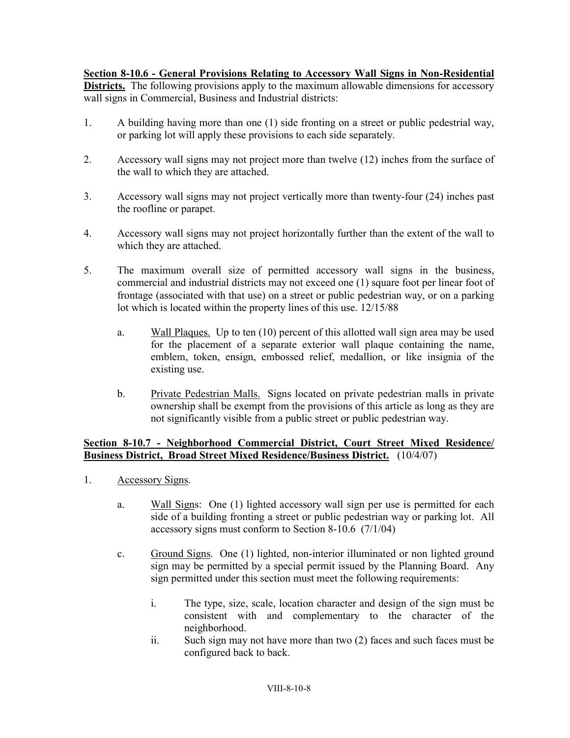# **Section 8-10.6 - General Provisions Relating to Accessory Wall Signs in Non-Residential**

**Districts.** The following provisions apply to the maximum allowable dimensions for accessory wall signs in Commercial, Business and Industrial districts:

- 1. A building having more than one (1) side fronting on a street or public pedestrial way, or parking lot will apply these provisions to each side separately.
- 2. Accessory wall signs may not project more than twelve (12) inches from the surface of the wall to which they are attached.
- 3. Accessory wall signs may not project vertically more than twenty-four (24) inches past the roofline or parapet.
- 4. Accessory wall signs may not project horizontally further than the extent of the wall to which they are attached.
- 5. The maximum overall size of permitted accessory wall signs in the business, commercial and industrial districts may not exceed one (1) square foot per linear foot of frontage (associated with that use) on a street or public pedestrian way, or on a parking lot which is located within the property lines of this use. 12/15/88
	- a. Wall Plaques. Up to ten (10) percent of this allotted wall sign area may be used for the placement of a separate exterior wall plaque containing the name, emblem, token, ensign, embossed relief, medallion, or like insignia of the existing use.
	- b. Private Pedestrian Malls. Signs located on private pedestrian malls in private ownership shall be exempt from the provisions of this article as long as they are not significantly visible from a public street or public pedestrian way.

### **Section 8-10.7 - Neighborhood Commercial District, Court Street Mixed Residence/ Business District, Broad Street Mixed Residence/Business District.** (10/4/07)

- 1. Accessory Signs.
	- a. Wall Signs: One (1) lighted accessory wall sign per use is permitted for each side of a building fronting a street or public pedestrian way or parking lot. All accessory signs must conform to Section 8-10.6 (7/1/04)
	- c. Ground Signs. One (1) lighted, non-interior illuminated or non lighted ground sign may be permitted by a special permit issued by the Planning Board. Any sign permitted under this section must meet the following requirements:
		- i. The type, size, scale, location character and design of the sign must be consistent with and complementary to the character of the neighborhood.
		- ii. Such sign may not have more than two (2) faces and such faces must be configured back to back.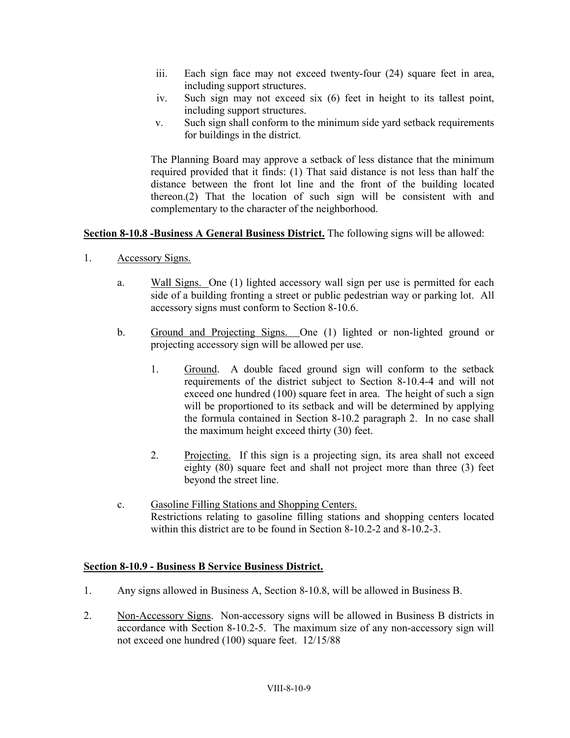- iii. Each sign face may not exceed twenty-four (24) square feet in area, including support structures.
- iv. Such sign may not exceed six (6) feet in height to its tallest point, including support structures.
- v. Such sign shall conform to the minimum side yard setback requirements for buildings in the district.

The Planning Board may approve a setback of less distance that the minimum required provided that it finds: (1) That said distance is not less than half the distance between the front lot line and the front of the building located thereon.(2) That the location of such sign will be consistent with and complementary to the character of the neighborhood.

# **Section 8-10.8 -Business A General Business District.** The following signs will be allowed:

- 1. Accessory Signs.
	- a. Wall Signs. One (1) lighted accessory wall sign per use is permitted for each side of a building fronting a street or public pedestrian way or parking lot. All accessory signs must conform to Section 8-10.6.
	- b. Ground and Projecting Signs. One (1) lighted or non-lighted ground or projecting accessory sign will be allowed per use.
		- 1. Ground. A double faced ground sign will conform to the setback requirements of the district subject to Section 8-10.4-4 and will not exceed one hundred (100) square feet in area. The height of such a sign will be proportioned to its setback and will be determined by applying the formula contained in Section 8-10.2 paragraph 2. In no case shall the maximum height exceed thirty (30) feet.
		- 2. Projecting. If this sign is a projecting sign, its area shall not exceed eighty (80) square feet and shall not project more than three (3) feet beyond the street line.
	- c. Gasoline Filling Stations and Shopping Centers. Restrictions relating to gasoline filling stations and shopping centers located within this district are to be found in Section 8-10.2-2 and 8-10.2-3.

### **Section 8-10.9 - Business B Service Business District.**

- 1. Any signs allowed in Business A, Section 8-10.8, will be allowed in Business B.
- 2. Non-Accessory Signs. Non-accessory signs will be allowed in Business B districts in accordance with Section 8-10.2-5. The maximum size of any non-accessory sign will not exceed one hundred (100) square feet. 12/15/88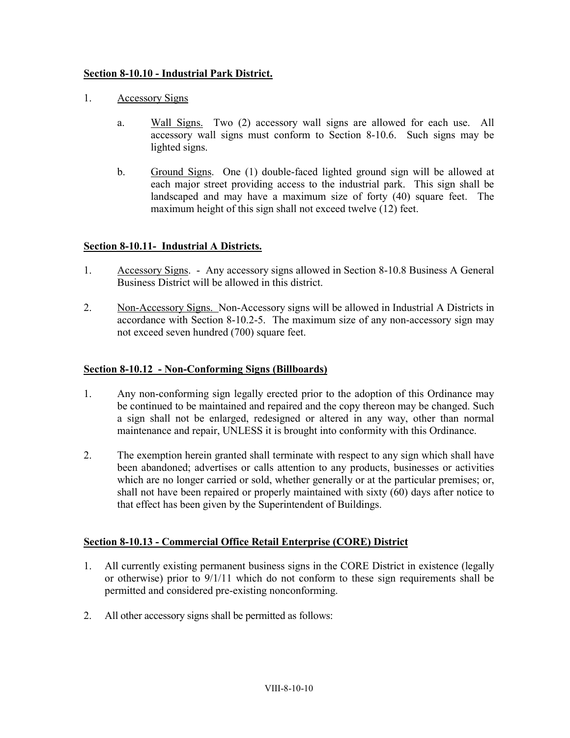### **Section 8-10.10 - Industrial Park District.**

- 1. Accessory Signs
	- a. Wall Signs. Two (2) accessory wall signs are allowed for each use. All accessory wall signs must conform to Section 8-10.6. Such signs may be lighted signs.
	- b. Ground Signs. One (1) double-faced lighted ground sign will be allowed at each major street providing access to the industrial park. This sign shall be landscaped and may have a maximum size of forty (40) square feet. The maximum height of this sign shall not exceed twelve (12) feet.

# **Section 8-10.11- Industrial A Districts.**

- 1. Accessory Signs. Any accessory signs allowed in Section 8-10.8 Business A General Business District will be allowed in this district.
- 2. Non-Accessory Signs. Non-Accessory signs will be allowed in Industrial A Districts in accordance with Section 8-10.2-5. The maximum size of any non-accessory sign may not exceed seven hundred (700) square feet.

### **Section 8-10.12 - Non-Conforming Signs (Billboards)**

- 1. Any non-conforming sign legally erected prior to the adoption of this Ordinance may be continued to be maintained and repaired and the copy thereon may be changed. Such a sign shall not be enlarged, redesigned or altered in any way, other than normal maintenance and repair, UNLESS it is brought into conformity with this Ordinance.
- 2. The exemption herein granted shall terminate with respect to any sign which shall have been abandoned; advertises or calls attention to any products, businesses or activities which are no longer carried or sold, whether generally or at the particular premises; or, shall not have been repaired or properly maintained with sixty (60) days after notice to that effect has been given by the Superintendent of Buildings.

### **Section 8-10.13 - Commercial Office Retail Enterprise (CORE) District**

- 1. All currently existing permanent business signs in the CORE District in existence (legally or otherwise) prior to 9/1/11 which do not conform to these sign requirements shall be permitted and considered pre-existing nonconforming.
- 2. All other accessory signs shall be permitted as follows: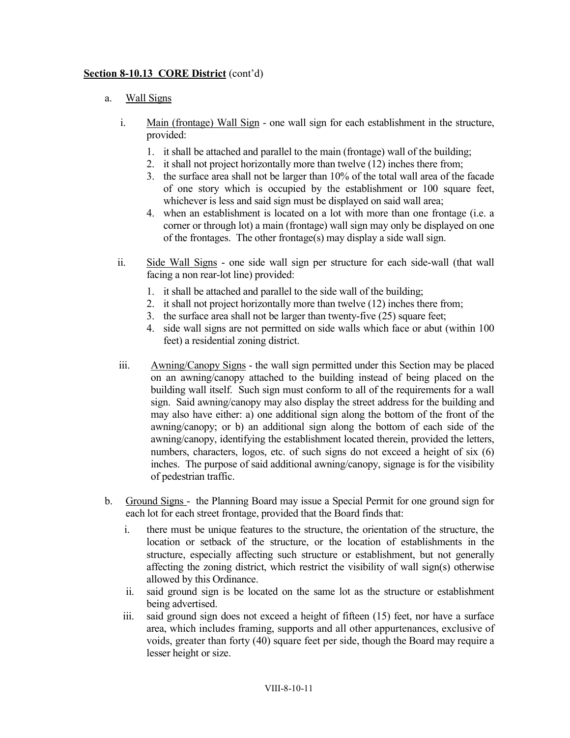### **Section 8-10.13 CORE District** (cont'd)

### a. Wall Signs

- i. Main (frontage) Wall Sign one wall sign for each establishment in the structure, provided:
	- 1. it shall be attached and parallel to the main (frontage) wall of the building;
	- 2. it shall not project horizontally more than twelve (12) inches there from;
	- 3. the surface area shall not be larger than 10% of the total wall area of the facade of one story which is occupied by the establishment or 100 square feet, whichever is less and said sign must be displayed on said wall area;
	- 4. when an establishment is located on a lot with more than one frontage (i.e. a corner or through lot) a main (frontage) wall sign may only be displayed on one of the frontages. The other frontage(s) may display a side wall sign.
- ii. Side Wall Signs one side wall sign per structure for each side-wall (that wall facing a non rear-lot line) provided:
	- 1. it shall be attached and parallel to the side wall of the building;
	- 2. it shall not project horizontally more than twelve (12) inches there from;
	- 3. the surface area shall not be larger than twenty-five (25) square feet;
	- 4. side wall signs are not permitted on side walls which face or abut (within 100 feet) a residential zoning district.
- iii. Awning/Canopy Signs the wall sign permitted under this Section may be placed on an awning/canopy attached to the building instead of being placed on the building wall itself. Such sign must conform to all of the requirements for a wall sign. Said awning/canopy may also display the street address for the building and may also have either: a) one additional sign along the bottom of the front of the awning/canopy; or b) an additional sign along the bottom of each side of the awning/canopy, identifying the establishment located therein, provided the letters, numbers, characters, logos, etc. of such signs do not exceed a height of six (6) inches. The purpose of said additional awning/canopy, signage is for the visibility of pedestrian traffic.
- b. Ground Signs the Planning Board may issue a Special Permit for one ground sign for each lot for each street frontage, provided that the Board finds that:
	- i. there must be unique features to the structure, the orientation of the structure, the location or setback of the structure, or the location of establishments in the structure, especially affecting such structure or establishment, but not generally affecting the zoning district, which restrict the visibility of wall sign(s) otherwise allowed by this Ordinance.
	- ii. said ground sign is be located on the same lot as the structure or establishment being advertised.
	- iii. said ground sign does not exceed a height of fifteen (15) feet, nor have a surface area, which includes framing, supports and all other appurtenances, exclusive of voids, greater than forty (40) square feet per side, though the Board may require a lesser height or size.